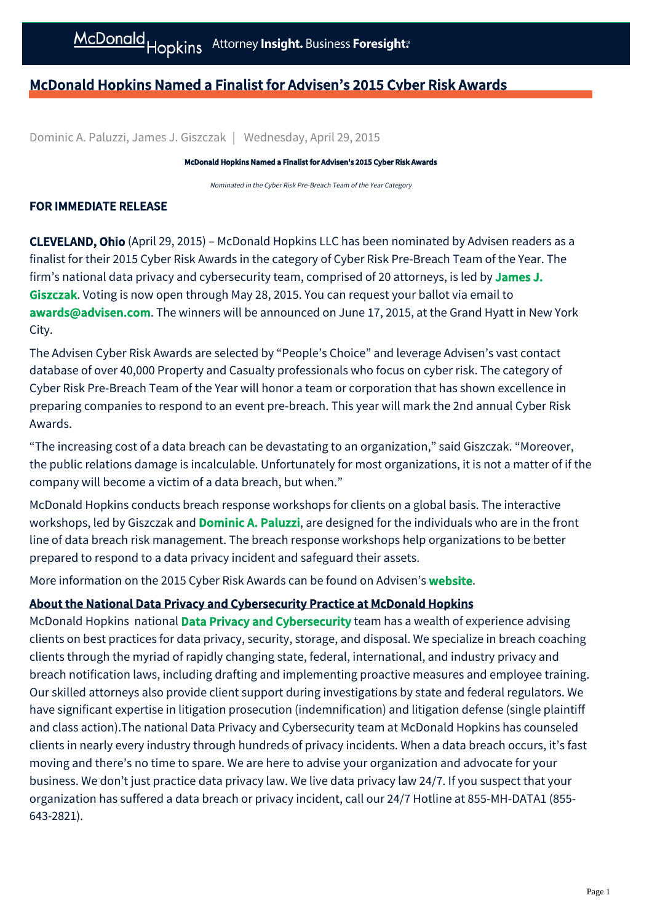## McDonald Hopkins Named a Finalist for Advisen's 2015 Cyber Risk Awards

Dominic A. Paluzzi, James J. Giszczak | Wednesday, April 29, 2015

McDonald Hopkins Named a Finalist for Advisen's 2015 Cyber Risk Awards

Nominated in the Cyber Risk Pre-Breach Team of the Year Category

## FOR IMMEDIATE RELEASE

CLEVELAND, Ohio (April 29, 2015) – McDonald Hopkins LLC has been nominated by Advisen readers as a finalist for their 2015 Cyber Risk Awards in the category of Cyber Risk Pre-Breach Team of the Year. The [firm's national data privacy and cybersecurity team, comprised of 20 attorneys, is led by](http://www.mcdonaldhopkins.com/attorney/james-j-giszczak) James J. Giszczak. Voting is now open through May 28, 2015. You can request your ballot via email to [awards@advisen.com](mailto:awards@advisen.com?subject=Cyber%20Risk%20Awards%20Ballot%20Request). The winners will be announced on June 17, 2015, at the Grand Hyatt in New York City.

The Advisen Cyber Risk Awards are selected by "People's Choice" and leverage Advisen's vast contact database of over 40,000 Property and Casualty professionals who focus on cyber risk. The category of Cyber Risk Pre-Breach Team of the Year will honor a team or corporation that has shown excellence in preparing companies to respond to an event pre-breach. This year will mark the 2nd annual Cyber Risk Awards.

"The increasing cost of a data breach can be devastating to an organization," said Giszczak. "Moreover, the public relations damage is incalculable. Unfortunately for most organizations, it is not a matter of if the company will become a victim of a data breach, but when."

McDonald Hopkins conducts breach response workshops for clients on a global basis. The interactive workshops, led by Giszczak and **[Dominic A. Paluzzi](http://www.mcdonaldhopkins.com/attorney/dominic-a-paluzzi)**, are designed for the individuals who are in the front line of data breach risk management. The breach response workshops help organizations to be better prepared to respond to a data privacy incident and safeguard their assets.

More information on the 2015 Cyber Risk Awards can be found on Advisen's **[website](http://www.advisenltd.com/events/awards/2015/06/17/2015-cyber-risk-awards/).** 

## About the National Data Privacy and Cybersecurity Practice at McDonald Hopkins

McDonald Hopkins national **[Data Privacy and Cybersecurity](http://www.mcdonaldhopkins.com/services/data-privacy-and-cybersecurity)** team has a wealth of experience advising clients on best practices for data privacy, security, storage, and disposal. We specialize in breach coaching clients through the myriad of rapidly changing state, federal, international, and industry privacy and breach notification laws, including drafting and implementing proactive measures and employee training. Our skilled attorneys also provide client support during investigations by state and federal regulators. We have significant expertise in litigation prosecution (indemnification) and litigation defense (single plaintiff and class action).The national Data Privacy and Cybersecurity team at McDonald Hopkins has counseled clients in nearly every industry through hundreds of privacy incidents. When a data breach occurs, it's fast moving and there's no time to spare. We are here to advise your organization and advocate for your business. We don't just practice data privacy law. We live data privacy law 24/7. If you suspect that your organization has suffered a data breach or privacy incident, call our 24/7 Hotline at 855-MH-DATA1 (855- 643-2821).